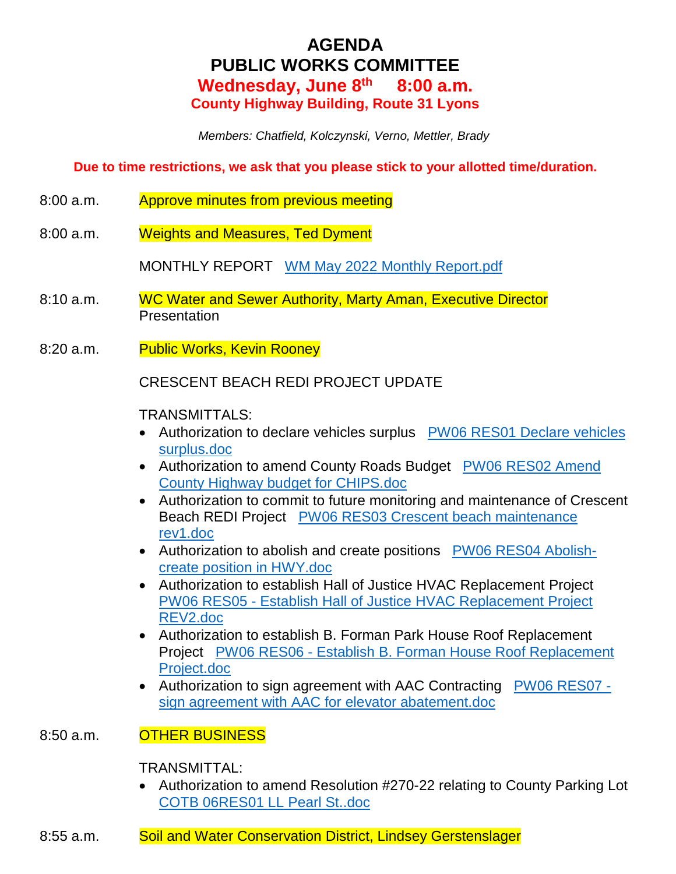# **AGENDA PUBLIC WORKS COMMITTEE Wednesday, June 8th 8:00 a.m. County Highway Building, Route 31 Lyons**

 *Members: Chatfield, Kolczynski, Verno, Mettler, Brady* 

**Due to time restrictions, we ask that you please stick to your allotted time/duration.** 

- 8:00 a.m. Approve minutes from previous meeting
- 8:00 a.m. Weights and Measures, Ted Dyment

MONTHLY REPORT WM May 2022 Monthly Report.pdf

- 8:10 a.m. WC Water and Sewer Authority, Marty Aman, Executive Director **Presentation**
- 8:20 a.m. Public Works, Kevin Rooney

CRESCENT BEACH REDI PROJECT UPDATE

## TRANSMITTALS:

- Authorization to declare vehicles surplus PW06 RES01 Declare vehicles surplus.doc
- Authorization to amend County Roads Budget PW06 RES02 Amend County Highway budget for CHIPS.doc
- Authorization to commit to future monitoring and maintenance of Crescent Beach REDI Project PW06 RES03 Crescent beach maintenance rev1.doc
- Authorization to abolish and create positions PW06 RES04 Abolishcreate position in HWY.doc
- Authorization to establish Hall of Justice HVAC Replacement Project PW06 RES05 - Establish Hall of Justice HVAC Replacement Project REV2.doc
- Authorization to establish B. Forman Park House Roof Replacement Project PW06 RES06 - Establish B. Forman House Roof Replacement Project.doc
- Authorization to sign agreement with AAC Contracting PW06 RES07 sign agreement with AAC for elevator abatement.doc

## 8:50 a.m. **OTHER BUSINESS**

## TRANSMITTAL:

- Authorization to amend Resolution #270-22 relating to County Parking Lot COTB 06RES01 LL Pearl St..doc
- 8:55 a.m. Soil and Water Conservation District, Lindsey Gerstenslager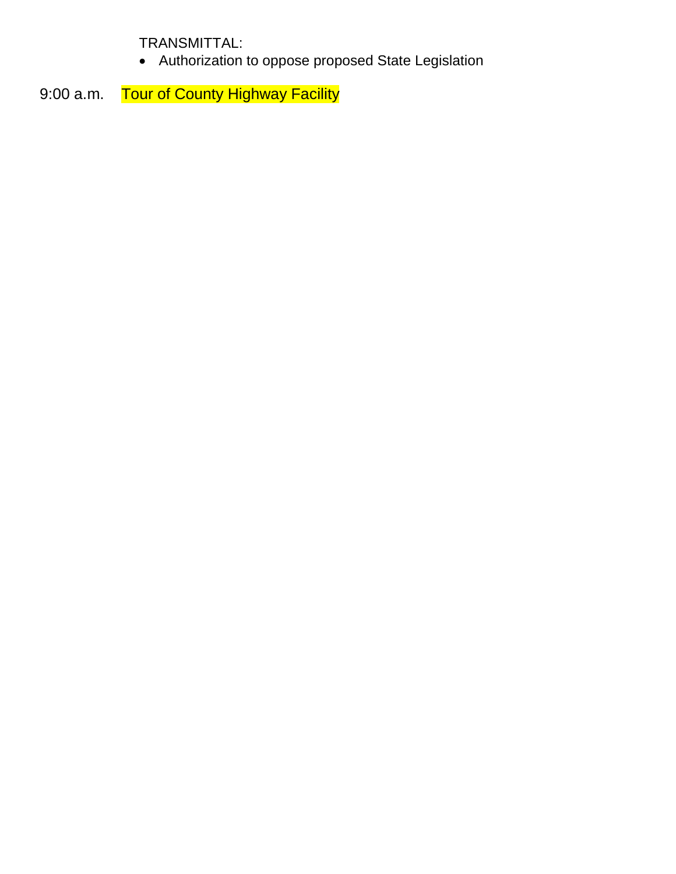TRANSMITTAL:

Authorization to oppose proposed State Legislation

9:00 a.m. Tour of County Highway Facility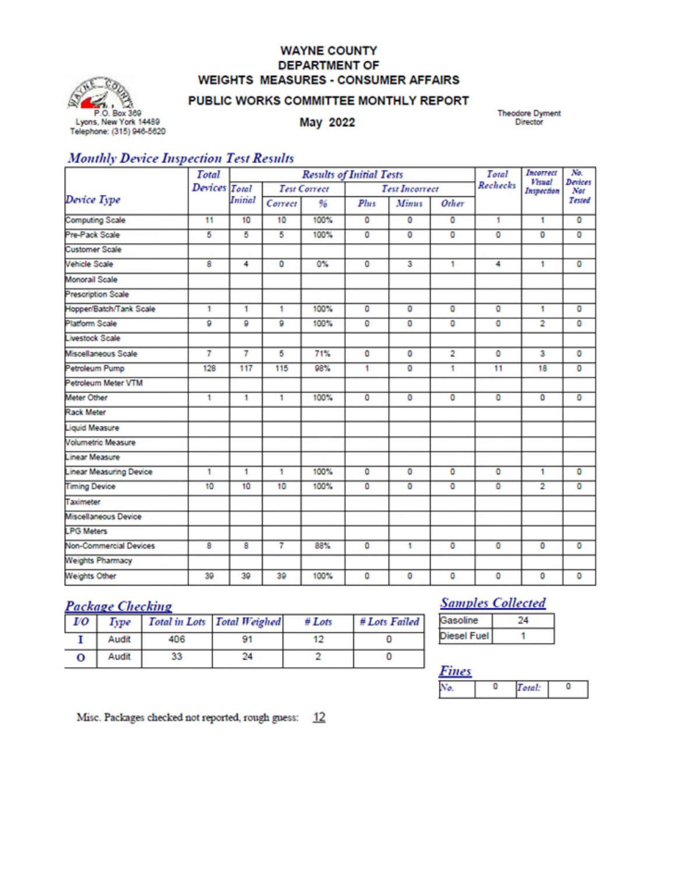## **WAYNE COUNTY DEPARTMENT OF WEIGHTS MEASURES - CONSUMER AFFAIRS**



#### PUBLIC WORKS COMMITTEE MONTHLY REPORT

May 2022

**Theodore Dyment** Director

## **Monthly Device Inspection Test Results**

|                                | <b>Total</b>  |                     |         | <b>Results of Initial Tests</b> | Incorrect<br>Total    |              | No.            |                             |                       |                |
|--------------------------------|---------------|---------------------|---------|---------------------------------|-----------------------|--------------|----------------|-----------------------------|-----------------------|----------------|
|                                | Devices Total | <b>Test Correct</b> |         |                                 | <b>Test Incorrect</b> |              | Rechecks       | <b>Visual</b><br>Inspection | <b>Devices</b><br>Not |                |
| Device Type                    |               | <b>Initial</b>      | Correct | 96                              | Plus                  | <b>Minus</b> | Other          |                             |                       | Tested         |
| <b>Computing Scale</b>         | 11            | 10                  | 10      | 100%                            | ٥                     | $\circ$      | ٥              | ٠                           | 1                     | $\overline{0}$ |
| Pre-Pack Scale                 | 5             | 5                   | 5       | 100%                            | o                     | 0            | ٥              | o                           | $\overline{0}$        | ٥              |
| <b>Customer Scale</b>          |               |                     |         |                                 |                       |              |                |                             |                       |                |
| <b>Vehicle Scale</b>           | 8             | 4                   | $\circ$ | 0%                              | $\circ$               | з            | 1              | 4                           | 1                     | ٥              |
| Monorail Scale                 |               |                     |         |                                 |                       |              |                |                             |                       |                |
| <b>Prescription Scale</b>      |               |                     |         |                                 |                       |              |                |                             |                       |                |
| Hopper/Batch/Tank Scale        | 1             | 1                   | 1       | 100%                            | o                     | o            | o              | $\overline{0}$              | 1                     | $\overline{0}$ |
| Platform Scale                 | ø             | 9                   | ø       | 100%                            | o                     | ٥            | ٥              | o                           | 2                     | ٥              |
| <b>Livestock Scale</b>         |               |                     |         |                                 |                       |              |                |                             |                       |                |
| Miscellaneous Scale            | 7             | 7                   | 5       | 71%                             | ٥                     | $\circ$      | $\overline{2}$ | $\circ$                     | 3                     | ٥              |
| Petroleum Pump                 | 128           | 117                 | 115     | 98%                             | 1                     | 0            | 1              | 11                          | 18                    | ٥              |
| Petroleum Meter VTM            |               |                     |         |                                 |                       |              |                |                             |                       |                |
| Meter Other                    | 1             | 1                   | 1       | 100%                            | $\circ$               | o            | o              | $\bullet$                   | $\bullet$             | ٥              |
| <b>Rack Meter</b>              |               |                     |         |                                 |                       |              |                |                             |                       |                |
| <b>Liquid Measure</b>          |               |                     |         |                                 |                       |              |                |                             |                       |                |
| Volumetric Measure             |               |                     |         |                                 |                       |              |                |                             |                       |                |
| <b>Linear Measure</b>          |               |                     |         |                                 |                       |              |                |                             |                       |                |
| <b>Linear Measuring Device</b> | 1             | 1                   | 1       | 100%                            | o                     | o            | o              | $\bullet$                   | 1                     | ٥              |
| <b>Timing Device</b>           | 10            | 10                  | 10      | 100%                            | o                     | o            | ٥              | $\overline{0}$              | $\overline{2}$        | ٥              |
| Taximeter                      |               |                     |         |                                 |                       |              |                |                             |                       |                |
| Miscellaneous Device           |               |                     |         |                                 |                       |              |                |                             |                       |                |
| <b>LPG Meters</b>              |               |                     |         |                                 |                       |              |                |                             |                       |                |
| <b>Non-Commercial Devices</b>  | 8             | 8                   | 7       | 88%                             | o                     | 1            | o              | $\circ$                     | $\mathbf 0$           | o              |
| <b>Weights Pharmacy</b>        |               |                     |         |                                 |                       |              |                |                             |                       |                |
| <b>Weights Other</b>           | 39            | 39                  | 39      | 100%                            | ٥                     | ٥            | ٥              | o                           | o                     | ٥              |

# **Package Checking**

| 1/0 |       |     | Type Total in Lots Total Weighed | $#$ Lots | # Lots Failed |
|-----|-------|-----|----------------------------------|----------|---------------|
|     | Audit | 406 |                                  |          |               |
| о   | Audit |     | 24                               |          |               |

# **Samples Collected**

## **Fines**

| ı |  |  |
|---|--|--|

Misc. Packages checked not reported, rough guess: 12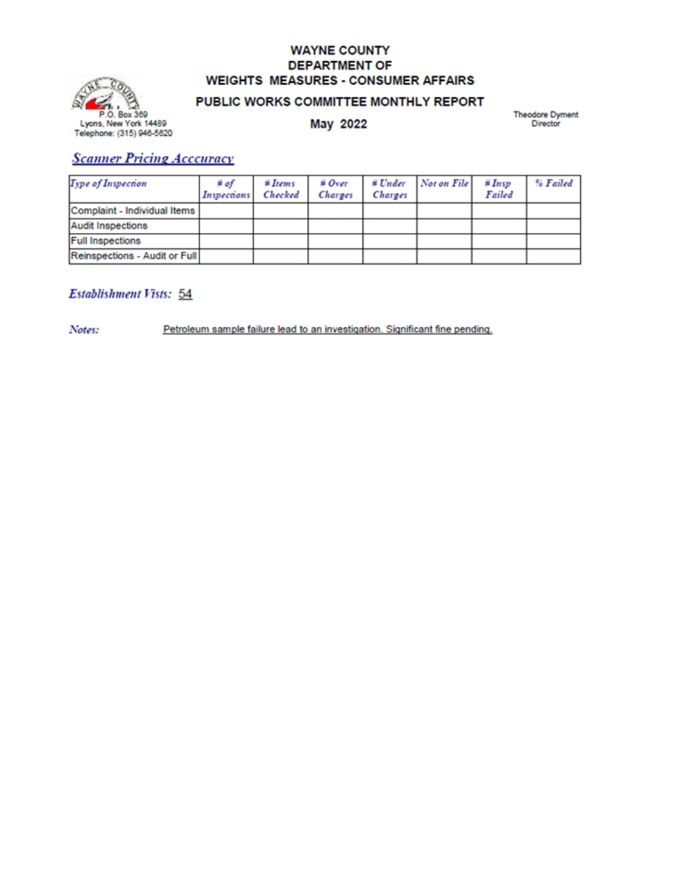## **WAYNE COUNTY DEPARTMENT OF WEIGHTS MEASURES - CONSUMER AFFAIRS**



### PUBLIC WORKS COMMITTEE MONTHLY REPORT

May 2022

Theodore Dyment<br>Director

## **Scanner Pricing Acceuracy**

| Type of Inspection            | # of<br>Inspections | #Items<br>Checked | # Over<br>Charges | # Under<br>Charges | Not on File | #Insp<br>Failed | % Failed |
|-------------------------------|---------------------|-------------------|-------------------|--------------------|-------------|-----------------|----------|
| Complaint - Individual Items  |                     |                   |                   |                    |             |                 |          |
| <b>Audit Inspections</b>      |                     |                   |                   |                    |             |                 |          |
| <b>Full Inspections</b>       |                     |                   |                   |                    |             |                 |          |
| Reinspections - Audit or Full |                     |                   |                   |                    |             |                 |          |

## Establishment Vists: 54

Notes:

Petroleum sample failure lead to an investigation. Significant fine pending.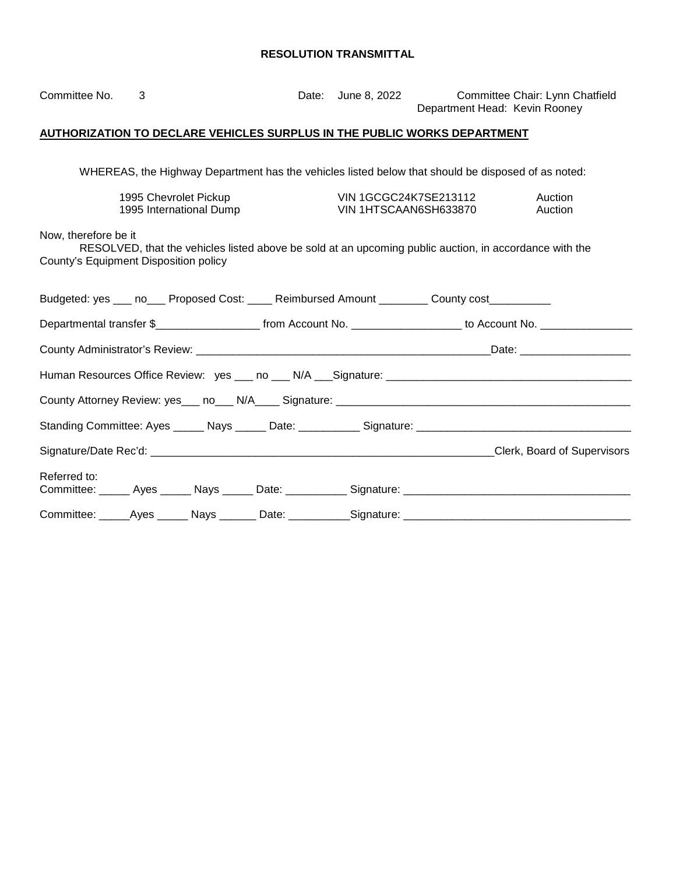| Committee No.                                                                                                                                                           | 3                                                                        |                         |  | Date: June 8, 2022                                    | Committee Chair: Lynn Chatfield<br>Department Head: Kevin Rooney                                                      |  |
|-------------------------------------------------------------------------------------------------------------------------------------------------------------------------|--------------------------------------------------------------------------|-------------------------|--|-------------------------------------------------------|-----------------------------------------------------------------------------------------------------------------------|--|
|                                                                                                                                                                         | AUTHORIZATION TO DECLARE VEHICLES SURPLUS IN THE PUBLIC WORKS DEPARTMENT |                         |  |                                                       |                                                                                                                       |  |
|                                                                                                                                                                         |                                                                          |                         |  |                                                       | WHEREAS, the Highway Department has the vehicles listed below that should be disposed of as noted:                    |  |
|                                                                                                                                                                         | 1995 Chevrolet Pickup                                                    | 1995 International Dump |  | <b>VIN 1GCGC24K7SE213112</b><br>VIN 1HTSCAAN6SH633870 | Auction<br>Auction                                                                                                    |  |
| Now, therefore be it<br>RESOLVED, that the vehicles listed above be sold at an upcoming public auction, in accordance with the<br>County's Equipment Disposition policy |                                                                          |                         |  |                                                       |                                                                                                                       |  |
|                                                                                                                                                                         |                                                                          |                         |  |                                                       | Budgeted: yes ___ no___ Proposed Cost: ____ Reimbursed Amount ________ County cost_________                           |  |
|                                                                                                                                                                         |                                                                          |                         |  |                                                       | Departmental transfer \$________________________ from Account No. ____________________ to Account No. _______________ |  |
|                                                                                                                                                                         |                                                                          |                         |  |                                                       |                                                                                                                       |  |
|                                                                                                                                                                         |                                                                          |                         |  |                                                       |                                                                                                                       |  |
|                                                                                                                                                                         |                                                                          |                         |  |                                                       |                                                                                                                       |  |
|                                                                                                                                                                         |                                                                          |                         |  |                                                       |                                                                                                                       |  |
|                                                                                                                                                                         |                                                                          |                         |  |                                                       |                                                                                                                       |  |
| Referred to:                                                                                                                                                            |                                                                          |                         |  |                                                       |                                                                                                                       |  |
|                                                                                                                                                                         |                                                                          |                         |  |                                                       |                                                                                                                       |  |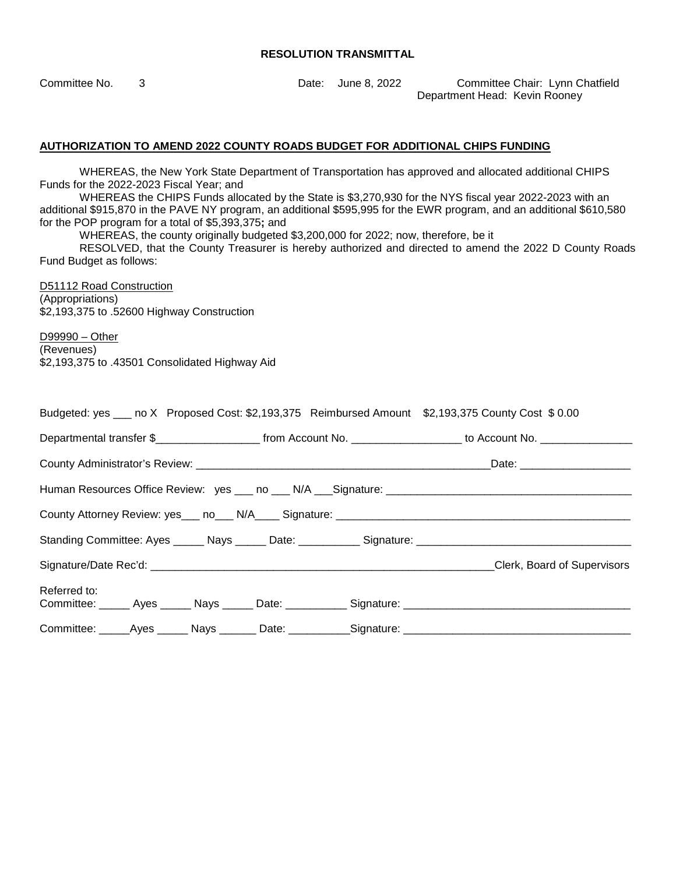Committee No. 3 Date: June 8, 2022 Committee Chair: Lynn Chatfield Department Head: Kevin Rooney

#### **AUTHORIZATION TO AMEND 2022 COUNTY ROADS BUDGET FOR ADDITIONAL CHIPS FUNDING**

WHEREAS, the New York State Department of Transportation has approved and allocated additional CHIPS Funds for the 2022-2023 Fiscal Year; and

WHEREAS the CHIPS Funds allocated by the State is \$3,270,930 for the NYS fiscal year 2022-2023 with an additional \$915,870 in the PAVE NY program, an additional \$595,995 for the EWR program, and an additional \$610,580 for the POP program for a total of \$5,393,375**;** and

WHEREAS, the county originally budgeted \$3,200,000 for 2022; now, therefore, be it

RESOLVED, that the County Treasurer is hereby authorized and directed to amend the 2022 D County Roads Fund Budget as follows:

D51112 Road Construction (Appropriations) \$2,193,375 to .52600 Highway Construction

D99990 – Other (Revenues) \$2,193,375 to .43501 Consolidated Highway Aid

|              |                                                                                                                  |  |  | Budgeted: yes ___ no X Proposed Cost: \$2,193,375 Reimbursed Amount \$2,193,375 County Cost \$0.00   |
|--------------|------------------------------------------------------------------------------------------------------------------|--|--|------------------------------------------------------------------------------------------------------|
|              | Departmental transfer \$_______________________ from Account No. ___________________ to Account No. ____________ |  |  |                                                                                                      |
|              |                                                                                                                  |  |  |                                                                                                      |
|              |                                                                                                                  |  |  |                                                                                                      |
|              |                                                                                                                  |  |  |                                                                                                      |
|              |                                                                                                                  |  |  |                                                                                                      |
|              |                                                                                                                  |  |  | Clerk, Board of Supervisors                                                                          |
| Referred to: |                                                                                                                  |  |  | Committee: ______ Ayes ______ Nays ______ Date: ___________ Signature: _____________________________ |
|              |                                                                                                                  |  |  | Committee: _____Ayes ______ Nays _______ Date: ___________Signature: ______________________________  |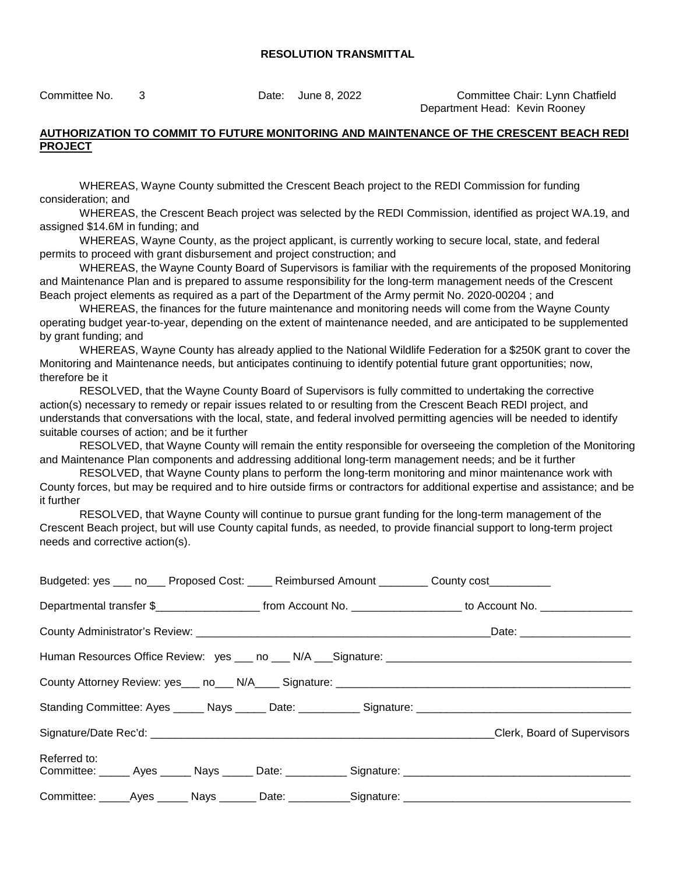Committee No. 3 Date: June 8, 2022 Committee Chair: Lynn Chatfield Department Head: Kevin Rooney

#### **AUTHORIZATION TO COMMIT TO FUTURE MONITORING AND MAINTENANCE OF THE CRESCENT BEACH REDI PROJECT**

WHEREAS, Wayne County submitted the Crescent Beach project to the REDI Commission for funding consideration; and

WHEREAS, the Crescent Beach project was selected by the REDI Commission, identified as project WA.19, and assigned \$14.6M in funding; and

WHEREAS, Wayne County, as the project applicant, is currently working to secure local, state, and federal permits to proceed with grant disbursement and project construction; and

WHEREAS, the Wayne County Board of Supervisors is familiar with the requirements of the proposed Monitoring and Maintenance Plan and is prepared to assume responsibility for the long-term management needs of the Crescent Beach project elements as required as a part of the Department of the Army permit No. 2020-00204 ; and

WHEREAS, the finances for the future maintenance and monitoring needs will come from the Wayne County operating budget year-to-year, depending on the extent of maintenance needed, and are anticipated to be supplemented by grant funding; and

WHEREAS, Wayne County has already applied to the National Wildlife Federation for a \$250K grant to cover the Monitoring and Maintenance needs, but anticipates continuing to identify potential future grant opportunities; now, therefore be it

RESOLVED, that the Wayne County Board of Supervisors is fully committed to undertaking the corrective action(s) necessary to remedy or repair issues related to or resulting from the Crescent Beach REDI project, and understands that conversations with the local, state, and federal involved permitting agencies will be needed to identify suitable courses of action; and be it further

RESOLVED, that Wayne County will remain the entity responsible for overseeing the completion of the Monitoring and Maintenance Plan components and addressing additional long-term management needs; and be it further

RESOLVED, that Wayne County plans to perform the long-term monitoring and minor maintenance work with County forces, but may be required and to hire outside firms or contractors for additional expertise and assistance; and be it further

RESOLVED, that Wayne County will continue to pursue grant funding for the long-term management of the Crescent Beach project, but will use County capital funds, as needed, to provide financial support to long-term project needs and corrective action(s).

| Budgeted: yes ___ no___ Proposed Cost: ____ Reimbursed Amount ________ County cost_________ |  |                                                                                                                                          |
|---------------------------------------------------------------------------------------------|--|------------------------------------------------------------------------------------------------------------------------------------------|
|                                                                                             |  | Departmental transfer \$________________________________from Account No. ____________________________ to Account No. ___________________ |
|                                                                                             |  |                                                                                                                                          |
|                                                                                             |  |                                                                                                                                          |
|                                                                                             |  |                                                                                                                                          |
|                                                                                             |  | Standing Committee: Ayes _____ Nays _____ Date: __________ Signature: ______________________________                                     |
|                                                                                             |  | Clerk, Board of Supervisors                                                                                                              |
| Referred to:                                                                                |  | Committee: _____ Ayes _____ Nays _____ Date: __________ Signature: ________________________________                                      |
|                                                                                             |  | Committee: ______Ayes ______ Nays _______ Date: ___________Signature: ______________________________                                     |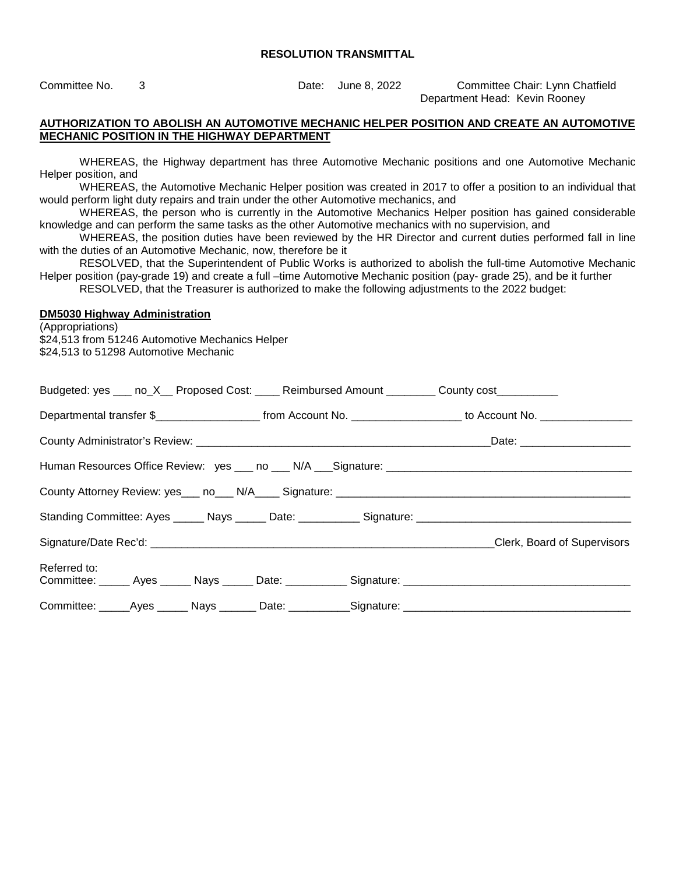Committee No. 3 Date: June 8, 2022 Committee Chair: Lynn Chatfield Department Head: Kevin Rooney

#### **AUTHORIZATION TO ABOLISH AN AUTOMOTIVE MECHANIC HELPER POSITION AND CREATE AN AUTOMOTIVE MECHANIC POSITION IN THE HIGHWAY DEPARTMENT**

WHEREAS, the Highway department has three Automotive Mechanic positions and one Automotive Mechanic Helper position, and

WHEREAS, the Automotive Mechanic Helper position was created in 2017 to offer a position to an individual that would perform light duty repairs and train under the other Automotive mechanics, and

WHEREAS, the person who is currently in the Automotive Mechanics Helper position has gained considerable knowledge and can perform the same tasks as the other Automotive mechanics with no supervision, and

WHEREAS, the position duties have been reviewed by the HR Director and current duties performed fall in line with the duties of an Automotive Mechanic, now, therefore be it

RESOLVED, that the Superintendent of Public Works is authorized to abolish the full-time Automotive Mechanic Helper position (pay-grade 19) and create a full –time Automotive Mechanic position (pay- grade 25), and be it further RESOLVED, that the Treasurer is authorized to make the following adjustments to the 2022 budget:

#### **DM5030 Highway Administration**

(Appropriations) \$24,513 from 51246 Automotive Mechanics Helper \$24,513 to 51298 Automotive Mechanic

|                                                                                                                                         |  |  |  | Budgeted: yes ___ no_X__ Proposed Cost: ____ Reimbursed Amount ________ County cost_________         |
|-----------------------------------------------------------------------------------------------------------------------------------------|--|--|--|------------------------------------------------------------------------------------------------------|
| Departmental transfer \$________________________________from Account No. ____________________________ to Account No. __________________ |  |  |  |                                                                                                      |
|                                                                                                                                         |  |  |  |                                                                                                      |
|                                                                                                                                         |  |  |  |                                                                                                      |
|                                                                                                                                         |  |  |  |                                                                                                      |
|                                                                                                                                         |  |  |  |                                                                                                      |
|                                                                                                                                         |  |  |  | Clerk, Board of Supervisors                                                                          |
| Referred to:                                                                                                                            |  |  |  |                                                                                                      |
|                                                                                                                                         |  |  |  | Committee: _____Ayes ______ Nays _______ Date: ___________Signature: _______________________________ |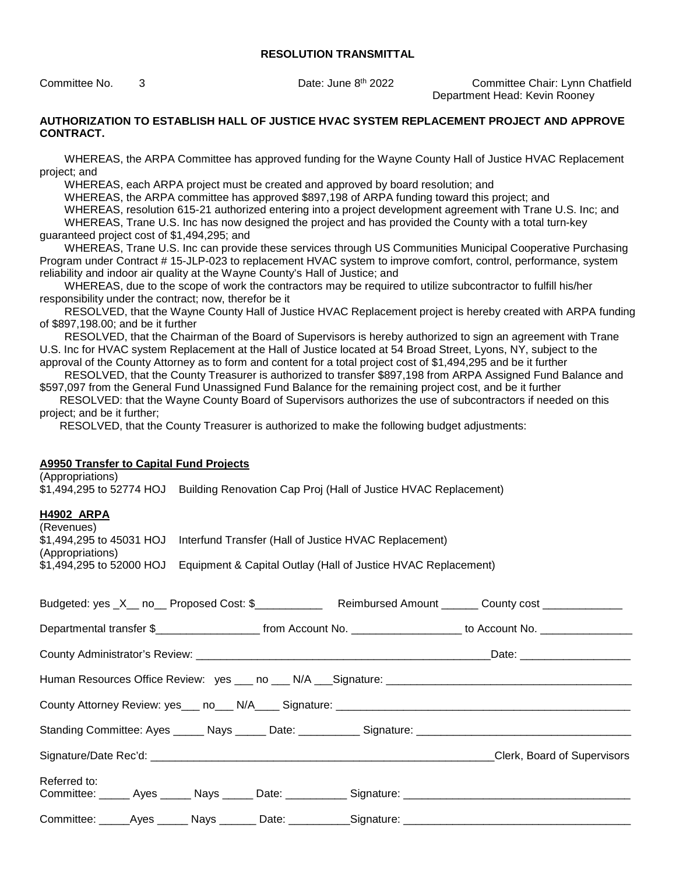Committee No. 3 Date: June 8th 2022 Committee Chair: Lynn Chatfield Department Head: Kevin Rooney

#### **AUTHORIZATION TO ESTABLISH HALL OF JUSTICE HVAC SYSTEM REPLACEMENT PROJECT AND APPROVE CONTRACT.**

WHEREAS, the ARPA Committee has approved funding for the Wayne County Hall of Justice HVAC Replacement project; and

WHEREAS, each ARPA project must be created and approved by board resolution; and

WHEREAS, the ARPA committee has approved \$897,198 of ARPA funding toward this project; and

WHEREAS, resolution 615-21 authorized entering into a project development agreement with Trane U.S. Inc; and

WHEREAS, Trane U.S. Inc has now designed the project and has provided the County with a total turn-key guaranteed project cost of \$1,494,295; and

WHEREAS, Trane U.S. Inc can provide these services through US Communities Municipal Cooperative Purchasing Program under Contract # 15-JLP-023 to replacement HVAC system to improve comfort, control, performance, system reliability and indoor air quality at the Wayne County's Hall of Justice; and

WHEREAS, due to the scope of work the contractors may be required to utilize subcontractor to fulfill his/her responsibility under the contract; now, therefor be it

RESOLVED, that the Wayne County Hall of Justice HVAC Replacement project is hereby created with ARPA funding of \$897,198.00; and be it further

RESOLVED, that the Chairman of the Board of Supervisors is hereby authorized to sign an agreement with Trane U.S. Inc for HVAC system Replacement at the Hall of Justice located at 54 Broad Street, Lyons, NY, subject to the approval of the County Attorney as to form and content for a total project cost of \$1,494,295 and be it further

RESOLVED, that the County Treasurer is authorized to transfer \$897,198 from ARPA Assigned Fund Balance and \$597,097 from the General Fund Unassigned Fund Balance for the remaining project cost, and be it further

RESOLVED: that the Wayne County Board of Supervisors authorizes the use of subcontractors if needed on this project; and be it further;

RESOLVED, that the County Treasurer is authorized to make the following budget adjustments:

#### **A9950 Transfer to Capital Fund Projects**

(Appropriations) \$1,494,295 to 52774 HOJ Building Renovation Cap Proj (Hall of Justice HVAC Replacement)

#### **H4902 ARPA**

| (Revenues)               |                                                               |
|--------------------------|---------------------------------------------------------------|
| \$1,494,295 to 45031 HOJ | Interfund Transfer (Hall of Justice HVAC Replacement)         |
| (Appropriations)         |                                                               |
| \$1,494,295 to 52000 HOJ | Equipment & Capital Outlay (Hall of Justice HVAC Replacement) |
|                          |                                                               |

| Budgeted: yes _X__ no__ Proposed Cost: \$__________________Reimbursed Amount _______ County cost ______________                          |                             |
|------------------------------------------------------------------------------------------------------------------------------------------|-----------------------------|
| Departmental transfer \$________________________________from Account No. ____________________________ to Account No. ___________________ |                             |
|                                                                                                                                          |                             |
|                                                                                                                                          |                             |
|                                                                                                                                          |                             |
| Standing Committee: Ayes ______ Nays ______ Date: ___________ Signature: ___________________________                                     |                             |
|                                                                                                                                          | Clerk, Board of Supervisors |
| Referred to:<br>Committee: ______ Ayes ______ Nays ______ Date: ___________ Signature: _____________________________                     |                             |
|                                                                                                                                          |                             |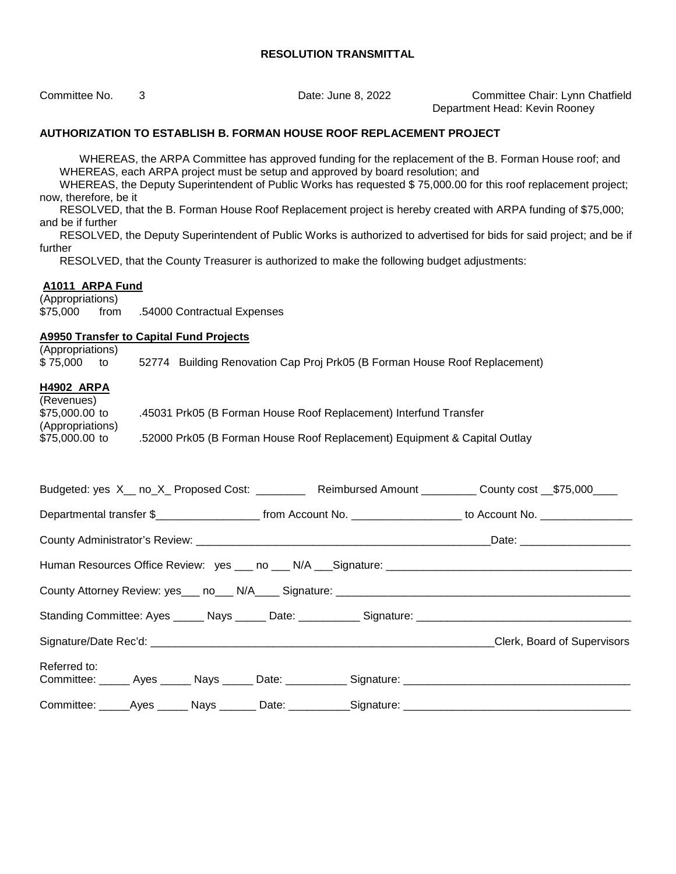Committee No. 3 Date: June 8, 2022 Committee Chair: Lynn Chatfield Department Head: Kevin Rooney

#### **AUTHORIZATION TO ESTABLISH B. FORMAN HOUSE ROOF REPLACEMENT PROJECT**

WHEREAS, the ARPA Committee has approved funding for the replacement of the B. Forman House roof; and WHEREAS, each ARPA project must be setup and approved by board resolution; and

 WHEREAS, the Deputy Superintendent of Public Works has requested \$ 75,000.00 for this roof replacement project; now, therefore, be it

 RESOLVED, that the B. Forman House Roof Replacement project is hereby created with ARPA funding of \$75,000; and be if further

 RESOLVED, the Deputy Superintendent of Public Works is authorized to advertised for bids for said project; and be if further

RESOLVED, that the County Treasurer is authorized to make the following budget adjustments:

#### **A1011 ARPA Fund**

(Appropriations) \$75,000 from .54000 Contractual Expenses

#### **A9950 Transfer to Capital Fund Projects**

(Appropriations) \$ 75,000 to 52774 Building Renovation Cap Proj Prk05 (B Forman House Roof Replacement) **H4902 ARPA** 

| (Revenues)       |                                                                           |
|------------------|---------------------------------------------------------------------------|
| \$75,000.00 to   | .45031 Prk05 (B Forman House Roof Replacement) Interfund Transfer         |
| (Appropriations) |                                                                           |
| \$75,000.00 to   | .52000 Prk05 (B Forman House Roof Replacement) Equipment & Capital Outlay |

| Budgeted: yes X__ no_X_ Proposed Cost: ___________ Reimbursed Amount __________ County cost __\$75,000____           |  |  |  |  |  |  |
|----------------------------------------------------------------------------------------------------------------------|--|--|--|--|--|--|
|                                                                                                                      |  |  |  |  |  |  |
|                                                                                                                      |  |  |  |  |  |  |
|                                                                                                                      |  |  |  |  |  |  |
|                                                                                                                      |  |  |  |  |  |  |
|                                                                                                                      |  |  |  |  |  |  |
|                                                                                                                      |  |  |  |  |  |  |
| Referred to:<br>Committee: _____ Ayes _____ Nays _____ Date: __________ Signature: _________________________________ |  |  |  |  |  |  |
| Committee: ______Ayes ______ Nays ________Date: ____________Signature: _____________________________                 |  |  |  |  |  |  |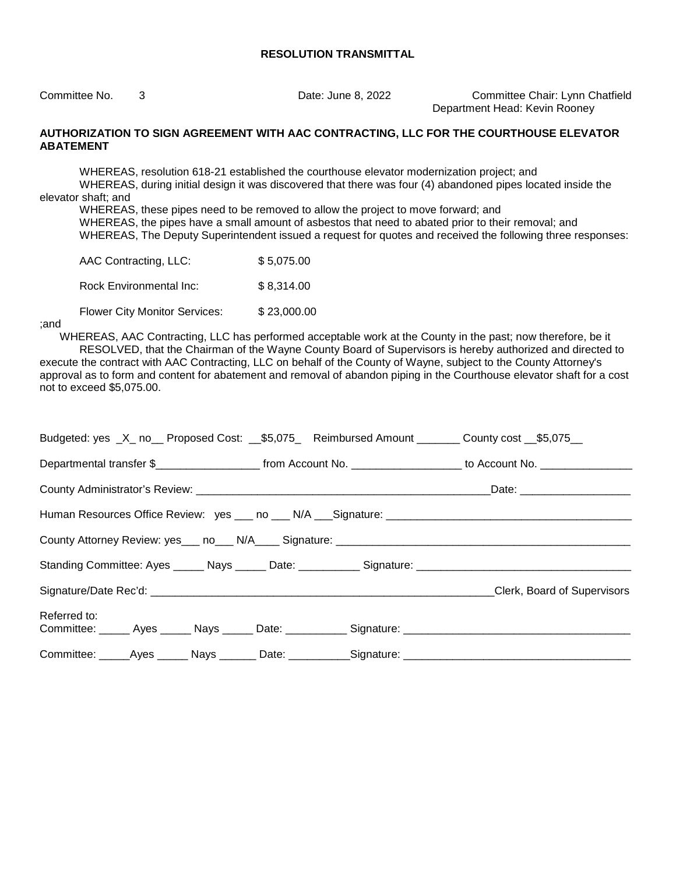Committee No. 3 Date: June 8, 2022 Committee Chair: Lynn Chatfield Department Head: Kevin Rooney

#### **AUTHORIZATION TO SIGN AGREEMENT WITH AAC CONTRACTING, LLC FOR THE COURTHOUSE ELEVATOR ABATEMENT**

WHEREAS, resolution 618-21 established the courthouse elevator modernization project; and WHEREAS, during initial design it was discovered that there was four (4) abandoned pipes located inside the elevator shaft; and

WHEREAS, these pipes need to be removed to allow the project to move forward; and WHEREAS, the pipes have a small amount of asbestos that need to abated prior to their removal; and WHEREAS, The Deputy Superintendent issued a request for quotes and received the following three responses:

| AAC Contracting, LLC:                | \$5,075.00  |
|--------------------------------------|-------------|
| Rock Environmental Inc:              | \$8,314.00  |
| <b>Flower City Monitor Services:</b> | \$23,000.00 |

;and

not to exceed \$5,075.00.

 WHEREAS, AAC Contracting, LLC has performed acceptable work at the County in the past; now therefore, be it RESOLVED, that the Chairman of the Wayne County Board of Supervisors is hereby authorized and directed to execute the contract with AAC Contracting, LLC on behalf of the County of Wayne, subject to the County Attorney's approval as to form and content for abatement and removal of abandon piping in the Courthouse elevator shaft for a cost

| Budgeted: yes _X_ no__ Proposed Cost: __\$5,075_ Reimbursed Amount _______ County cost __\$5,075__                   |                                                                                                                       |  |                             |  |  |
|----------------------------------------------------------------------------------------------------------------------|-----------------------------------------------------------------------------------------------------------------------|--|-----------------------------|--|--|
|                                                                                                                      | Departmental transfer \$________________________ from Account No. ____________________ to Account No. _______________ |  |                             |  |  |
|                                                                                                                      |                                                                                                                       |  |                             |  |  |
|                                                                                                                      |                                                                                                                       |  |                             |  |  |
|                                                                                                                      |                                                                                                                       |  |                             |  |  |
| Standing Committee: Ayes ______ Nays ______ Date: ___________ Signature: ___________________________                 |                                                                                                                       |  |                             |  |  |
|                                                                                                                      |                                                                                                                       |  | Clerk, Board of Supervisors |  |  |
| Referred to:<br>Committee: ______ Ayes ______ Nays ______ Date: ___________ Signature: _____________________________ |                                                                                                                       |  |                             |  |  |
| Committee: _____Ayes ______ Nays _______ Date: ___________Signature: _______________________________                 |                                                                                                                       |  |                             |  |  |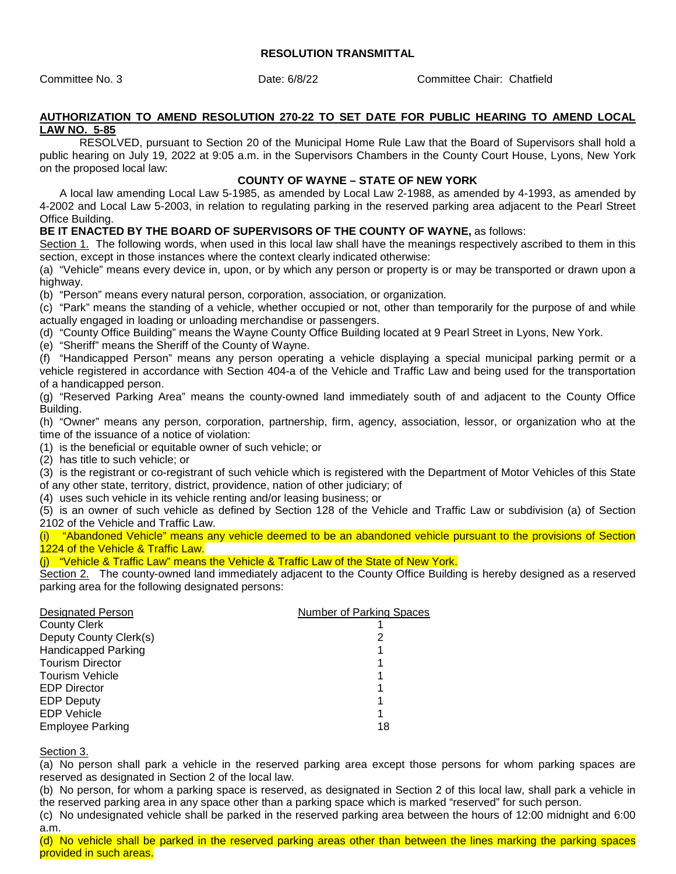Committee No. 3 Date: 6/8/22 Committee Chair: Chatfield

#### **AUTHORIZATION TO AMEND RESOLUTION 270-22 TO SET DATE FOR PUBLIC HEARING TO AMEND LOCAL LAW NO. 5-85**

RESOLVED, pursuant to Section 20 of the Municipal Home Rule Law that the Board of Supervisors shall hold a public hearing on July 19, 2022 at 9:05 a.m. in the Supervisors Chambers in the County Court House, Lyons, New York on the proposed local law:

#### **COUNTY OF WAYNE – STATE OF NEW YORK**

 A local law amending Local Law 5-1985, as amended by Local Law 2-1988, as amended by 4-1993, as amended by 4-2002 and Local Law 5-2003, in relation to regulating parking in the reserved parking area adjacent to the Pearl Street Office Building.

#### **BE IT ENACTED BY THE BOARD OF SUPERVISORS OF THE COUNTY OF WAYNE,** as follows:

Section 1. The following words, when used in this local law shall have the meanings respectively ascribed to them in this section, except in those instances where the context clearly indicated otherwise:

(a) "Vehicle" means every device in, upon, or by which any person or property is or may be transported or drawn upon a highway.

(b) "Person" means every natural person, corporation, association, or organization.

(c) "Park" means the standing of a vehicle, whether occupied or not, other than temporarily for the purpose of and while actually engaged in loading or unloading merchandise or passengers.

(d) "County Office Building" means the Wayne County Office Building located at 9 Pearl Street in Lyons, New York.

(e) "Sheriff" means the Sheriff of the County of Wayne.

(f) "Handicapped Person" means any person operating a vehicle displaying a special municipal parking permit or a vehicle registered in accordance with Section 404-a of the Vehicle and Traffic Law and being used for the transportation of a handicapped person.

(g) "Reserved Parking Area" means the county-owned land immediately south of and adjacent to the County Office Building.

(h) "Owner" means any person, corporation, partnership, firm, agency, association, lessor, or organization who at the time of the issuance of a notice of violation:

(1) is the beneficial or equitable owner of such vehicle; or

(2) has title to such vehicle; or

(3) is the registrant or co-registrant of such vehicle which is registered with the Department of Motor Vehicles of this State of any other state, territory, district, providence, nation of other judiciary; of

(4) uses such vehicle in its vehicle renting and/or leasing business; or

(5) is an owner of such vehicle as defined by Section 128 of the Vehicle and Traffic Law or subdivision (a) of Section 2102 of the Vehicle and Traffic Law.

(i) "Abandoned Vehicle" means any vehicle deemed to be an abandoned vehicle pursuant to the provisions of Section 1224 of the Vehicle & Traffic Law.

(j) "Vehicle & Traffic Law" means the Vehicle & Traffic Law of the State of New York.

Section 2. The county-owned land immediately adjacent to the County Office Building is hereby designed as a reserved parking area for the following designated persons:

| <b>Designated Person</b>   | Number of Parking Spaces |
|----------------------------|--------------------------|
| <b>County Clerk</b>        |                          |
| Deputy County Clerk(s)     |                          |
| <b>Handicapped Parking</b> |                          |
| <b>Tourism Director</b>    |                          |
| <b>Tourism Vehicle</b>     |                          |
| <b>EDP</b> Director        |                          |
| <b>EDP Deputy</b>          |                          |
| <b>EDP</b> Vehicle         |                          |
| <b>Employee Parking</b>    | 18                       |
|                            |                          |

Section 3.

(a) No person shall park a vehicle in the reserved parking area except those persons for whom parking spaces are reserved as designated in Section 2 of the local law.

(b) No person, for whom a parking space is reserved, as designated in Section 2 of this local law, shall park a vehicle in the reserved parking area in any space other than a parking space which is marked "reserved" for such person.

(c) No undesignated vehicle shall be parked in the reserved parking area between the hours of 12:00 midnight and 6:00 a.m.

(d) No vehicle shall be parked in the reserved parking areas other than between the lines marking the parking spaces provided in such areas.